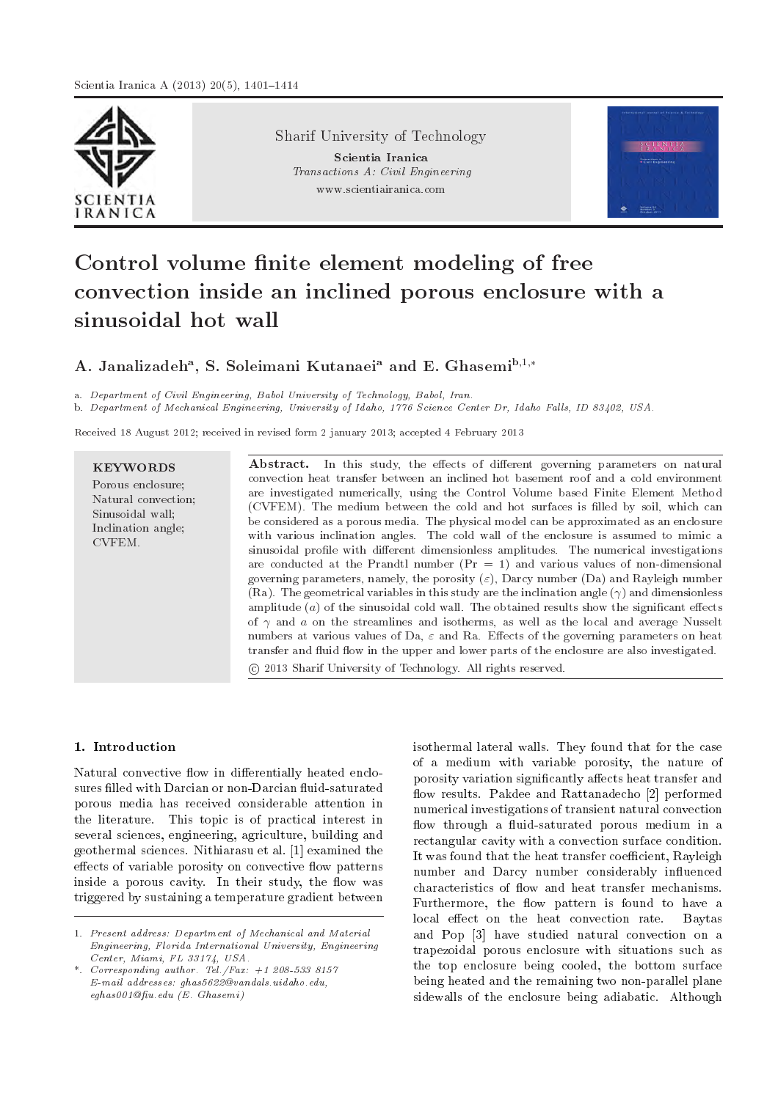

Sharif University of Technology

Scientia Iranica Transactions A: Civil Engineering www.scientiairanica.com



# Control volume finite element modeling of free convection inside an inclined porous enclosure with a sinusoidal hot wall

# A. Janalizadeh<sup>a</sup>, S. Soleimani Kutanaei<sup>a</sup> and E. Ghasemi<sup>b,1,</sup>\*

a. Department of Civil Engineering, Babol University of Technology, Babol, Iran.

b. Department of Mechanical Engineering, University of Idaho, 1776 Science Center Dr, Idaho Falls, ID 83402, USA.

Received 18 August 2012; received in revised form 2 january 2013; accepted 4 February 2013

# **KEYWORDS**

Porous enclosure; Natural convection; Sinusoidal wall; Inclination angle; CVFEM.

Abstract. In this study, the effects of different governing parameters on natural convection heat transfer between an inclined hot basement roof and a cold environment are investigated numerically, using the Control Volume based Finite Element Method (CVFEM). The medium between the cold and hot surfaces is lled by soil, which can be considered as a porous media. The physical model can be approximated as an enclosure with various inclination angles. The cold wall of the enclosure is assumed to mimic a sinusoidal profile with different dimensionless amplitudes. The numerical investigations are conducted at the Prandtl number  $(Pr = 1)$  and various values of non-dimensional governing parameters, namely, the porosity  $(\varepsilon)$ , Darcy number (Da) and Rayleigh number (Ra). The geometrical variables in this study are the inclination angle  $(\gamma)$  and dimensionless amplitude  $(a)$  of the sinusoidal cold wall. The obtained results show the significant effects of  $\gamma$  and a on the streamlines and isotherms, as well as the local and average Nusselt numbers at various values of Da,  $\varepsilon$  and Ra. Effects of the governing parameters on heat transfer and fluid flow in the upper and lower parts of the enclosure are also investigated. c 2013 Sharif University of Technology. All rights reserved.

## 1. Introduction

Natural convective flow in differentially heated enclosures filled with Darcian or non-Darcian fluid-saturated porous media has received considerable attention in the literature. This topic is of practical interest in several sciences, engineering, agriculture, building and geothermal sciences. Nithiarasu et al. [1] examined the effects of variable porosity on convective flow patterns inside a porous cavity. In their study, the flow was triggered by sustaining a temperature gradient between isothermal lateral walls. They found that for the case of a medium with variable porosity, the nature of porosity variation significantly affects heat transfer and flow results. Pakdee and Rattanadecho [2] performed numerical investigations of transient natural convection flow through a fluid-saturated porous medium in a rectangular cavity with a convection surface condition. It was found that the heat transfer coefficient, Rayleigh number and Darcy number considerably influenced characteristics of flow and heat transfer mechanisms. Furthermore, the flow pattern is found to have a local effect on the heat convection rate. Baytas and Pop [3] have studied natural convection on a trapezoidal porous enclosure with situations such as the top enclosure being cooled, the bottom surface being heated and the remaining two non-parallel plane sidewalls of the enclosure being adiabatic. Although

<sup>1.</sup> Present address: Department of Mechanical and Material Engineering, Florida International University, Engineering Center, Miami, FL 33174, USA.

<sup>\*.</sup> Corresponding author. Tel./Fax: +1 208-533 8157 E-mail addresses: ghas5622@vandals.uidaho.edu,  $eghas001$  @fiu.edu (E. Ghasemi)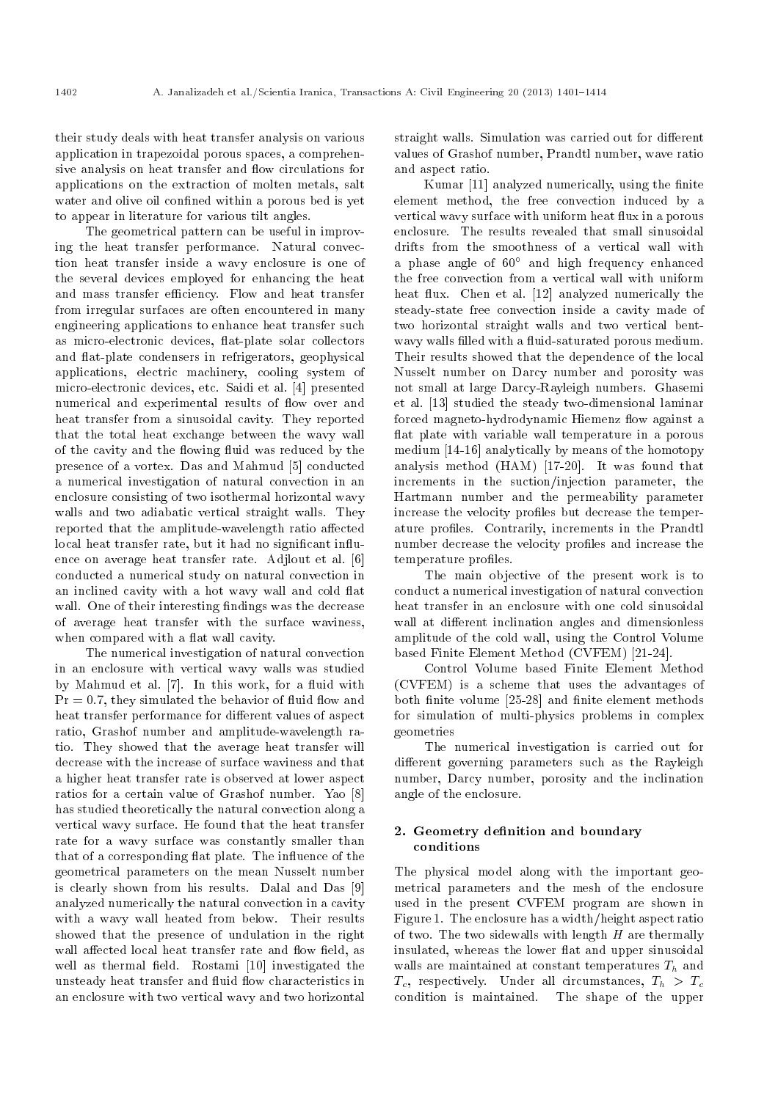their study deals with heat transfer analysis on various application in trapezoidal porous spaces, a comprehensive analysis on heat transfer and flow circulations for applications on the extraction of molten metals, salt water and olive oil confined within a porous bed is yet to appear in literature for various tilt angles.

The geometrical pattern can be useful in improving the heat transfer performance. Natural convection heat transfer inside a wavy enclosure is one of the several devices employed for enhancing the heat and mass transfer efficiency. Flow and heat transfer from irregular surfaces are often encountered in many engineering applications to enhance heat transfer such as micro-electronic devices, 
at-plate solar collectors and flat-plate condensers in refrigerators, geophysical applications, electric machinery, cooling system of micro-electronic devices, etc. Saidi et al. [4] presented numerical and experimental results of flow over and heat transfer from a sinusoidal cavity. They reported that the total heat exchange between the wavy wall of the cavity and the flowing fluid was reduced by the presence of a vortex. Das and Mahmud [5] conducted a numerical investigation of natural convection in an enclosure consisting of two isothermal horizontal wavy walls and two adiabatic vertical straight walls. They reported that the amplitude-wavelength ratio affected local heat transfer rate, but it had no significant influence on average heat transfer rate. Adjlout et al. [6] conducted a numerical study on natural convection in an inclined cavity with a hot wavy wall and cold flat wall. One of their interesting findings was the decrease of average heat transfer with the surface waviness, when compared with a flat wall cavity.

The numerical investigation of natural convection in an enclosure with vertical wavy walls was studied by Mahmud et al. [7]. In this work, for a fluid with  $Pr = 0.7$ , they simulated the behavior of fluid flow and heat transfer performance for different values of aspect ratio, Grashof number and amplitude-wavelength ratio. They showed that the average heat transfer will decrease with the increase of surface waviness and that a higher heat transfer rate is observed at lower aspect ratios for a certain value of Grashof number. Yao [8] has studied theoretically the natural convection along a vertical wavy surface. He found that the heat transfer rate for a wavy surface was constantly smaller than that of a corresponding flat plate. The influence of the geometrical parameters on the mean Nusselt number is clearly shown from his results. Dalal and Das [9] analyzed numerically the natural convection in a cavity with a wavy wall heated from below. Their results showed that the presence of undulation in the right wall affected local heat transfer rate and flow field, as well as thermal field. Rostami [10] investigated the unsteady heat transfer and fluid flow characteristics in an enclosure with two vertical wavy and two horizontal straight walls. Simulation was carried out for different values of Grashof number, Prandtl number, wave ratio and aspect ratio.

Kumar [11] analyzed numerically, using the finite element method, the free convection induced by a vertical wavy surface with uniform heat flux in a porous enclosure. The results revealed that small sinusoidal drifts from the smoothness of a vertical wall with a phase angle of  $60^{\circ}$  and high frequency enhanced the free convection from a vertical wall with uniform heat flux. Chen et al. [12] analyzed numerically the steady-state free convection inside a cavity made of two horizontal straight walls and two vertical bentwavy walls filled with a fluid-saturated porous medium. Their results showed that the dependence of the local Nusselt number on Darcy number and porosity was not small at large Darcy-Rayleigh numbers. Ghasemi et al. [13] studied the steady two-dimensional laminar forced magneto-hydrodynamic Hiemenz flow against a flat plate with variable wall temperature in a porous medium [14-16] analytically by means of the homotopy analysis method (HAM) [17-20]. It was found that increments in the suction/injection parameter, the Hartmann number and the permeability parameter increase the velocity profiles but decrease the temperature profiles. Contrarily, increments in the Prandtl number decrease the velocity profiles and increase the temperature profiles.

The main objective of the present work is to conduct a numerical investigation of natural convection heat transfer in an enclosure with one cold sinusoidal wall at different inclination angles and dimensionless amplitude of the cold wall, using the Control Volume based Finite Element Method (CVFEM) [21-24].

Control Volume based Finite Element Method (CVFEM) is a scheme that uses the advantages of both finite volume [25-28] and finite element methods for simulation of multi-physics problems in complex geometries

The numerical investigation is carried out for different governing parameters such as the Rayleigh number, Darcy number, porosity and the inclination angle of the enclosure.

## 2. Geometry definition and boundary conditions

The physical model along with the important geometrical parameters and the mesh of the enclosure used in the present CVFEM program are shown in Figure 1. The enclosure has a width/height aspect ratio of two. The two sidewalls with length  $H$  are thermally insulated, whereas the lower flat and upper sinusoidal walls are maintained at constant temperatures  $T_h$  and  $T_c$ , respectively. Under all circumstances,  $T_h > T_c$ condition is maintained. The shape of the upper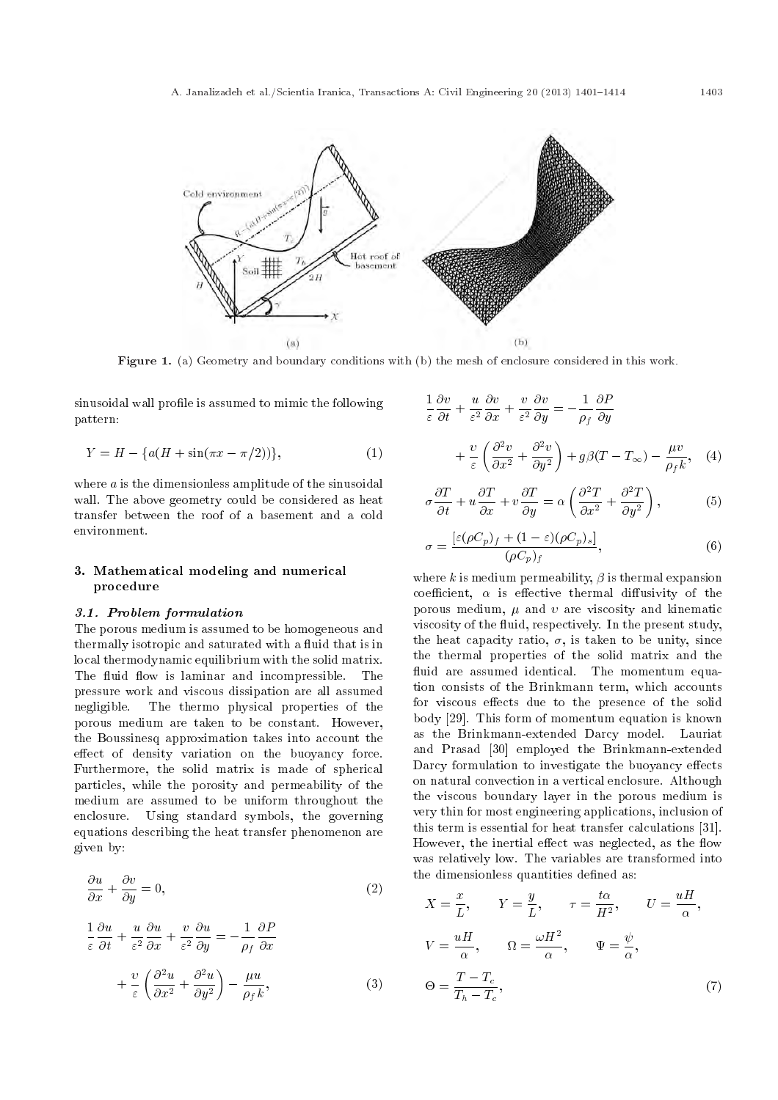

Figure 1. (a) Geometry and boundary conditions with (b) the mesh of enclosure considered in this work.

sinusoidal wall profile is assumed to mimic the following pattern:

$$
Y = H - \{a(H + \sin(\pi x - \pi/2))\},\tag{1}
$$

where  $a$  is the dimensionless amplitude of the sinusoidal wall. The above geometry could be considered as heat transfer between the roof of a basement and a cold environment.

# 3. Mathematical modeling and numerical procedure

#### 3.1. Problem formulation

The porous medium is assumed to be homogeneous and thermally isotropic and saturated with a fluid that is in local thermodynamic equilibrium with the solid matrix. The fluid flow is laminar and incompressible. The pressure work and viscous dissipation are all assumed negligible. The thermo physical properties of the porous medium are taken to be constant. However, the Boussinesq approximation takes into account the effect of density variation on the buoyancy force. Furthermore, the solid matrix is made of spherical particles, while the porosity and permeability of the medium are assumed to be uniform throughout the enclosure. Using standard symbols, the governing equations describing the heat transfer phenomenon are given by:

$$
\frac{\partial u}{\partial x} + \frac{\partial v}{\partial y} = 0,\t\t(2)
$$

$$
\frac{1}{\varepsilon} \frac{\partial u}{\partial t} + \frac{u}{\varepsilon^2} \frac{\partial u}{\partial x} + \frac{v}{\varepsilon^2} \frac{\partial u}{\partial y} = -\frac{1}{\rho_f} \frac{\partial P}{\partial x} \n+ \frac{v}{\varepsilon} \left( \frac{\partial^2 u}{\partial x^2} + \frac{\partial^2 u}{\partial y^2} \right) - \frac{\mu u}{\rho_f k},
$$
\n(3)

$$
\frac{1}{\varepsilon} \frac{\partial v}{\partial t} + \frac{u}{\varepsilon^2} \frac{\partial v}{\partial x} + \frac{v}{\varepsilon^2} \frac{\partial v}{\partial y} = -\frac{1}{\rho_f} \frac{\partial P}{\partial y} \n+ \frac{v}{\varepsilon} \left( \frac{\partial^2 v}{\partial x^2} + \frac{\partial^2 v}{\partial y^2} \right) + g\beta(T - T_{\infty}) - \frac{\mu v}{\rho_f k}, \quad (4)
$$

$$
\sigma \frac{\partial T}{\partial t} + u \frac{\partial T}{\partial x} + v \frac{\partial T}{\partial y} = \alpha \left( \frac{\partial^2 T}{\partial x^2} + \frac{\partial^2 T}{\partial y^2} \right),
$$
 (5)

$$
\sigma = \frac{\left[\varepsilon(\rho C_p)_f + (1 - \varepsilon)(\rho C_p)_s\right]}{(\rho C_p)_f},\tag{6}
$$

where  $k$  is medium permeability,  $\beta$  is thermal expansion coefficient,  $\alpha$  is effective thermal diffusivity of the porous medium,  $\mu$  and  $\nu$  are viscosity and kinematic viscosity of the fluid, respectively. In the present study, the heat capacity ratio,  $\sigma$ , is taken to be unity, since the thermal properties of the solid matrix and the fluid are assumed identical. The momentum equation consists of the Brinkmann term, which accounts for viscous effects due to the presence of the solid body [29]. This form of momentum equation is known as the Brinkmann-extended Darcy model. Lauriat and Prasad [30] employed the Brinkmann-extended Darcy formulation to investigate the buoyancy effects on natural convection in a vertical enclosure. Although the viscous boundary layer in the porous medium is very thin for most engineering applications, inclusion of this term is essential for heat transfer calculations [31]. However, the inertial effect was neglected, as the flow was relatively low. The variables are transformed into the dimensionless quantities defined as:

$$
X = \frac{x}{L}, \qquad Y = \frac{y}{L}, \qquad \tau = \frac{t\alpha}{H^2}, \qquad U = \frac{uH}{\alpha},
$$
  

$$
V = \frac{uH}{\alpha}, \qquad \Omega = \frac{\omega H^2}{\alpha}, \qquad \Psi = \frac{\psi}{\alpha},
$$
  

$$
\Theta = \frac{T - T_c}{T_h - T_c}, \tag{7}
$$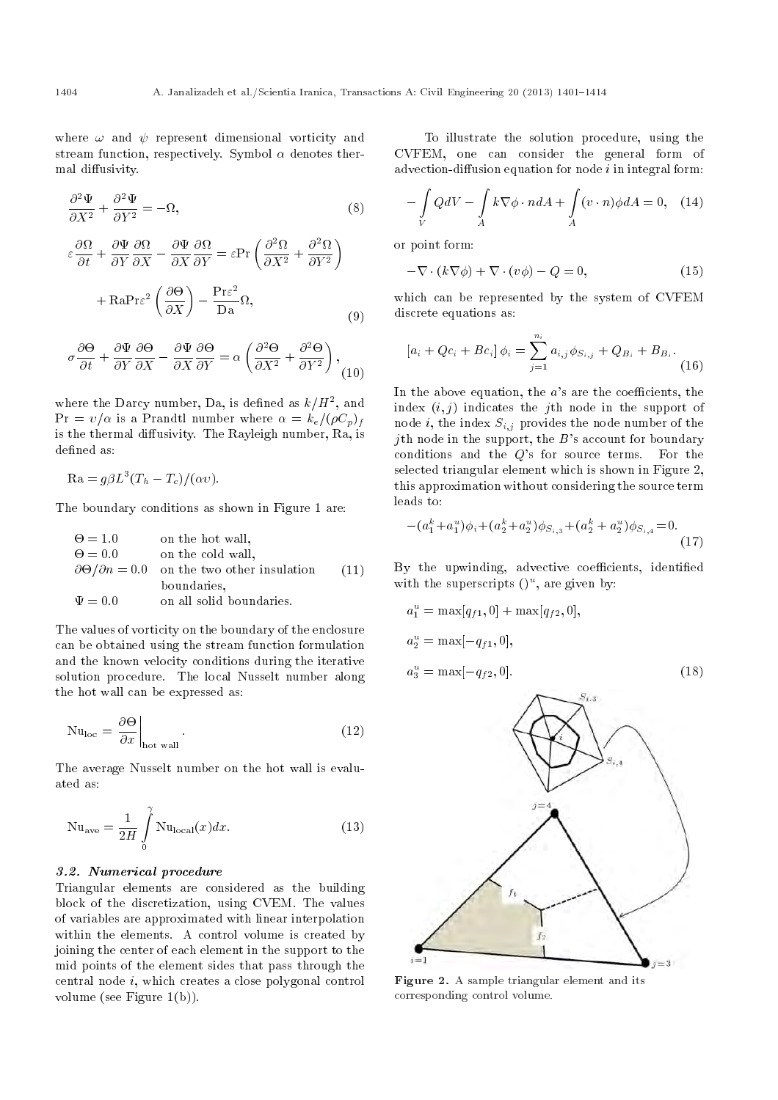where  $\omega$  and  $\psi$  represent dimensional vorticity and stream function, respectively. Symbol  $\alpha$  denotes thermal diffusivity.

$$
\frac{\partial^2 \Psi}{\partial X^2} + \frac{\partial^2 \Psi}{\partial Y^2} = -\Omega,
$$
\n(8)

$$
\varepsilon \frac{\partial \Omega}{\partial t} + \frac{\partial \Psi}{\partial Y} \frac{\partial \Omega}{\partial X} - \frac{\partial \Psi}{\partial X} \frac{\partial \Omega}{\partial Y} = \varepsilon \Pr \left( \frac{\partial^2 \Omega}{\partial X^2} + \frac{\partial^2 \Omega}{\partial Y^2} \right)
$$

$$
+ \mathrm{Ra} \mathrm{Pr} \varepsilon^2 \left( \frac{\partial \Theta}{\partial Y} \right) - \frac{\mathrm{Pr} \varepsilon^2}{\Gamma} \Omega,
$$

$$
\begin{array}{cc}\n\left(\frac{\partial X}{\partial x}\right) & \text{Da} \xrightarrow{\cdot} \\
\left(\frac{\partial X}{\partial x}\right) & \text{Da} \xrightarrow{\cdot} \\
\left(\frac{\partial X}{\partial x}\right) & \text{Da} \xrightarrow{\cdot} \\
\left(\frac{\partial X}{\partial x}\right) & \text{A} \xrightarrow{\cdot} \\
\left(\frac{\partial X}{\partial x}\right) & \text{A} \xrightarrow{\cdot} \\
\left(\frac{\partial X}{\partial x}\right) & \text{A} \xrightarrow{\cdot} \\
\left(\frac{\partial X}{\partial x}\right) & \text{B} \xrightarrow{\cdot} \\
\left(\frac{\partial X}{\partial x}\right) & \text{C} \xrightarrow{\cdot} \\
\left(\frac{\partial X}{\partial x}\right) & \text{C} \xrightarrow{\cdot} \\
\left(\frac{\partial X}{\partial x}\right) & \text{C} \xrightarrow{\cdot} \\
\left(\frac{\partial X}{\partial x}\right) & \text{D} \xrightarrow{\cdot} \\
\left(\frac{\partial X}{\partial x}\right) & \text{D} \xrightarrow{\cdot} \\
\left(\frac{\partial X}{\partial x}\right) & \text{D} \xrightarrow{\cdot} \\
\left(\frac{\partial X}{\partial x}\right) & \text{D} \xrightarrow{\cdot} \\
\left(\frac{\partial X}{\partial x}\right) & \text{D} \xrightarrow{\cdot} \\
\left(\frac{\partial X}{\partial x}\right) & \text{D} \xrightarrow{\cdot} \\
\left(\frac{\partial X}{\partial x}\right) & \text{D} \xrightarrow{\cdot} \\
\left(\frac{\partial X}{\partial x}\right) & \text{D} \xrightarrow{\cdot} \\
\left(\frac{\partial X}{\partial x}\right) & \text{D} \xrightarrow{\cdot} \\
\left(\frac{\partial X}{\partial x}\right) & \text{D} \xrightarrow{\cdot} \\
\left(\frac{\partial X}{\partial x}\right) & \text{D} \xrightarrow{\cdot} \\
\left(\frac{\partial X}{\partial x}\right) & \text{D} \xrightarrow{\cdot} \\
\left(\frac{\partial X}{\partial x}\right) & \text{D} \xrightarrow{\cdot} \\
\left(\frac{\partial X}{\partial x}\right) & \text{D} \xrightarrow{\cdot} \\
\left(\frac{\partial X}{\partial x}\right) & \text{D} \xrightarrow{\cdot} \\
\left(\frac{\partial X}{\partial x}\right) & \text{D} \xrightarrow{\cdot} \\
\left(\frac{\partial X}{\partial x}\right) & \text{D} \xrightarrow{\cdot} \\
\left(\frac{\partial X}{\partial x}\right) & \text{D} \xrightarrow
$$

$$
\sigma \frac{\partial \Theta}{\partial t} + \frac{\partial \Psi}{\partial Y} \frac{\partial \Theta}{\partial X} - \frac{\partial \Psi}{\partial X} \frac{\partial \Theta}{\partial Y} = \alpha \left( \frac{\partial^2 \Theta}{\partial X^2} + \frac{\partial^2 \Theta}{\partial Y^2} \right), \tag{10}
$$

where the Darcy number, Da, is defined as  $k/H^2$ , and  $Pr = v/\alpha$  is a Prandtl number where  $\alpha = k_e/(\rho C_p)_f$ is the thermal diffusivity. The Rayleigh number, Ra, is defined as:

$$
\text{Ra} = g\beta L^3 (T_h - T_c) / (\alpha v).
$$

The boundary conditions as shown in Figure 1 are:

| $\Theta = 1.0$ | on the hot wall,                                                 |      |
|----------------|------------------------------------------------------------------|------|
| $\Theta = 0.0$ | on the cold wall,                                                |      |
|                | $\partial \Theta / \partial n = 0.0$ on the two other insulation | (11) |
|                | boundaries.                                                      |      |
| $\Psi = 0.0$   | on all solid boundaries.                                         |      |

The values of vorticity on the boundary of the enclosure can be obtained using the stream function formulation and the known velocity conditions during the iterative solution procedure. The local Nusselt number along the hot wall can be expressed as:

$$
\mathrm{Nu}_{\mathrm{loc}} = \left. \frac{\partial \Theta}{\partial x} \right|_{\mathrm{hot wall}}.\tag{12}
$$

The average Nusselt number on the hot wall is evaluated as:

$$
\text{Nu}_{\text{ave}} = \frac{1}{2H} \int_{0}^{\gamma} \text{Nu}_{\text{local}}(x) dx.
$$
 (13)

#### 3.2. Numerical procedure

Triangular elements are considered as the building block of the discretization, using CVEM. The values of variables are approximated with linear interpolation within the elements. A control volume is created by joining the center of each element in the support to the mid points of the element sides that pass through the central node i, which creates a close polygonal control volume (see Figure 1(b)).

To illustrate the solution procedure, using the CVFEM, one can consider the general form of advection-diffusion equation for node  $i$  in integral form:

$$
-\int\limits_V QdV - \int\limits_A k\nabla\phi \cdot n dA + \int\limits_A (v \cdot n)\phi dA = 0, \quad (14)
$$

or point form:

$$
-\nabla \cdot (k\nabla \phi) + \nabla \cdot (v\phi) - Q = 0, \qquad (15)
$$

which can be represented by the system of CVFEM discrete equations as:

$$
[a_i + Qc_i + Bc_i] \phi_i = \sum_{j=1}^{n_i} a_{i,j} \phi_{S_{i,j}} + Q_{B_i} + B_{B_i}.
$$
\n(16)

In the above equation, the  $a$ 's are the coefficients, the index  $(i, j)$  indicates the j<sup>th</sup> node in the support of node *i*, the index  $S_{i,j}$  provides the node number of the *j*th node in the support, the  $B$ 's account for boundary conditions and the Q's for source terms. For the selected triangular element which is shown in Figure 2, this approximation without considering the source term leads to:

$$
-(a_1^k + a_1^u)\phi_i + (a_2^k + a_2^u)\phi_{S_{i,3}} + (a_2^k + a_2^u)\phi_{S_{i,4}} = 0.
$$
\n(17)

By the upwinding, advective coefficients, identified with the superscripts  $( )<sup>u</sup>$ , are given by:

$$
a_1^u = \max[q_{f1}, 0] + \max[q_{f2}, 0],
$$
  
\n
$$
a_2^u = \max[-q_{f1}, 0],
$$
  
\n
$$
a_3^u = \max[-q_{f2}, 0].
$$
\n(18)



Figure 2. A sample triangular element and its corresponding control volume.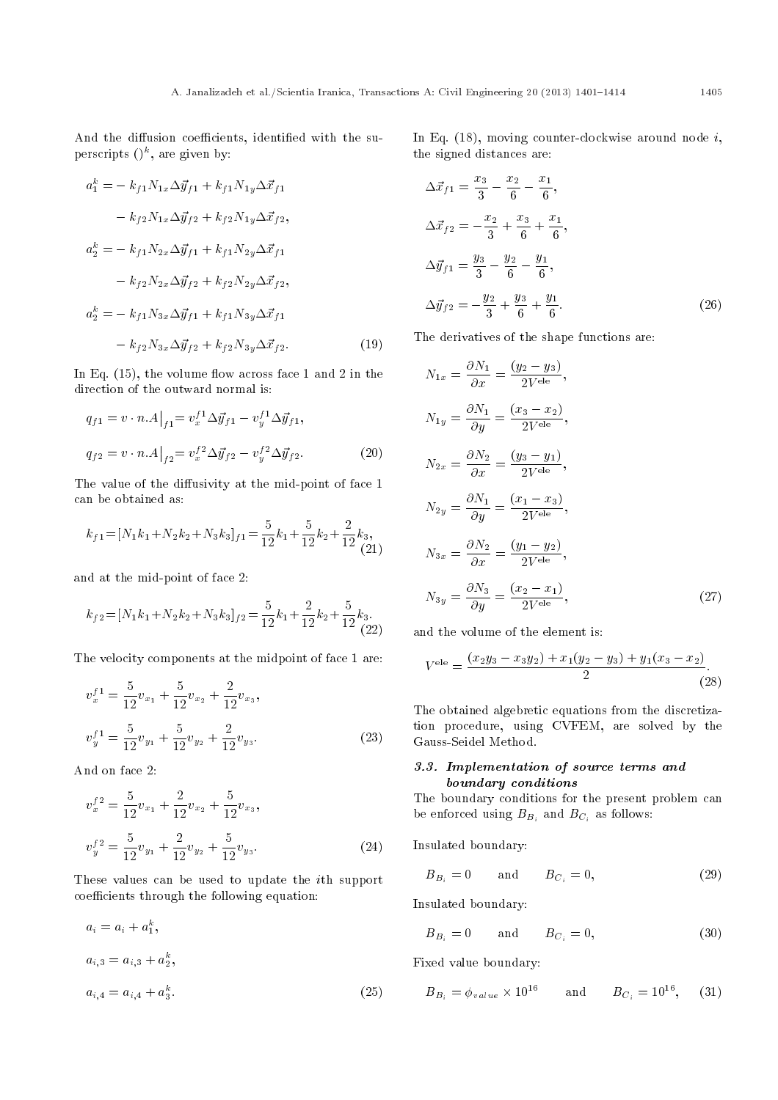And the diffusion coefficients, identified with the superscripts  $()^k$ , are given by:

$$
a_1^k = -k_{f1} N_{1x} \Delta \vec{y}_{f1} + k_{f1} N_{1y} \Delta \vec{x}_{f1}
$$
  
\n
$$
-k_{f2} N_{1x} \Delta \vec{y}_{f2} + k_{f2} N_{1y} \Delta \vec{x}_{f2},
$$
  
\n
$$
a_2^k = -k_{f1} N_{2x} \Delta \vec{y}_{f1} + k_{f1} N_{2y} \Delta \vec{x}_{f1}
$$
  
\n
$$
-k_{f2} N_{2x} \Delta \vec{y}_{f2} + k_{f2} N_{2y} \Delta \vec{x}_{f2},
$$
  
\n
$$
a_2^k = -k_{f1} N_{3x} \Delta \vec{y}_{f1} + k_{f1} N_{3y} \Delta \vec{x}_{f1}
$$
  
\n
$$
-k_{f2} N_{3x} \Delta \vec{y}_{f2} + k_{f2} N_{3y} \Delta \vec{x}_{f2}.
$$
  
\n(19)

In Eq.  $(15)$ , the volume flow across face 1 and 2 in the direction of the outward normal is:

$$
q_{f1} = v \cdot n.A|_{f1} = v_x^{f1} \Delta \vec{y}_{f1} - v_y^{f1} \Delta \vec{y}_{f1},
$$
  

$$
q_{f2} = v \cdot n.A|_{f2} = v_x^{f2} \Delta \vec{y}_{f2} - v_y^{f2} \Delta \vec{y}_{f2}.
$$
 (20)

The value of the diffusivity at the mid-point of face 1 can be obtained as:

$$
k_{f1} = [N_1k_1 + N_2k_2 + N_3k_3]_{f1} = \frac{5}{12}k_1 + \frac{5}{12}k_2 + \frac{2}{12}k_3,
$$
\n(21)

and at the mid-point of face 2:

$$
k_{f2} = [N_1k_1 + N_2k_2 + N_3k_3]_{f2} = \frac{5}{12}k_1 + \frac{2}{12}k_2 + \frac{5}{12}k_3.
$$
\n(22)

The velocity components at the midpoint of face 1 are:

$$
v_x^{f1} = \frac{5}{12}v_{x_1} + \frac{5}{12}v_{x_2} + \frac{2}{12}v_{x_3},
$$
  

$$
v_y^{f1} = \frac{5}{12}v_{y_1} + \frac{5}{12}v_{y_2} + \frac{2}{12}v_{y_3}.
$$
 (23)

And on face 2:

$$
v_x^{f2} = \frac{5}{12}v_{x_1} + \frac{2}{12}v_{x_2} + \frac{5}{12}v_{x_3},
$$
  

$$
v_y^{f2} = \frac{5}{12}v_{y_1} + \frac{2}{12}v_{y_2} + \frac{5}{12}v_{y_3}.
$$
 (24)

These values can be used to update the ith support coefficients through the following equation:

$$
a_i = a_i + a_1^k,
$$
  
\n
$$
a_{i,3} = a_{i,3} + a_2^k,
$$
  
\n
$$
a_{i,4} = a_{i,4} + a_3^k.
$$
\n(25)

In Eq.  $(18)$ , moving counter-clockwise around node *i*, the signed distances are:

$$
\Delta \vec{x}_{f1} = \frac{x_3}{3} - \frac{x_2}{6} - \frac{x_1}{6},
$$
  
\n
$$
\Delta \vec{x}_{f2} = -\frac{x_2}{3} + \frac{x_3}{6} + \frac{x_1}{6},
$$
  
\n
$$
\Delta \vec{y}_{f1} = \frac{y_3}{3} - \frac{y_2}{6} - \frac{y_1}{6},
$$
  
\n
$$
\Delta \vec{y}_{f2} = -\frac{y_2}{3} + \frac{y_3}{6} + \frac{y_1}{6}.
$$
\n(26)

The derivatives of the shape functions are:

$$
N_{1x} = \frac{\partial N_1}{\partial x} = \frac{(y_2 - y_3)}{2V^{\text{ele}}},
$$
  
\n
$$
N_{1y} = \frac{\partial N_1}{\partial y} = \frac{(x_3 - x_2)}{2V^{\text{ele}}},
$$
  
\n
$$
N_{2x} = \frac{\partial N_2}{\partial x} = \frac{(y_3 - y_1)}{2V^{\text{ele}}},
$$
  
\n
$$
N_{2y} = \frac{\partial N_1}{\partial y} = \frac{(x_1 - x_3)}{2V^{\text{ele}}},
$$
  
\n
$$
N_{3x} = \frac{\partial N_2}{\partial x} = \frac{(y_1 - y_2)}{2V^{\text{ele}}},
$$
  
\n
$$
N_{3y} = \frac{\partial N_3}{\partial y} = \frac{(x_2 - x_1)}{2V^{\text{ele}}},
$$
  
\n(27)

and the volume of the element is:

$$
Vele = \frac{(x_2y_3 - x_3y_2) + x_1(y_2 - y_3) + y_1(x_3 - x_2)}{2}.
$$
\n(28)

The obtained algebretic equations from the discretization procedure, using CVFEM, are solved by the Gauss-Seidel Method.

# 3.3. Implementation of source terms and boundary conditions

The boundary conditions for the present problem can be enforced using  $B_{B_i}$  and  $B_{C_i}$  as follows:

Insulated boundary:

$$
B_{B_i} = 0 \qquad \text{and} \qquad B_{C_i} = 0, \tag{29}
$$

Insulated boundary:

$$
B_{B_i} = 0 \qquad \text{and} \qquad B_{C_i} = 0, \tag{30}
$$

Fixed value boundary:

$$
B_{B_i} = \phi_{value} \times 10^{16}
$$
 and  $B_{C_i} = 10^{16}$ , (31)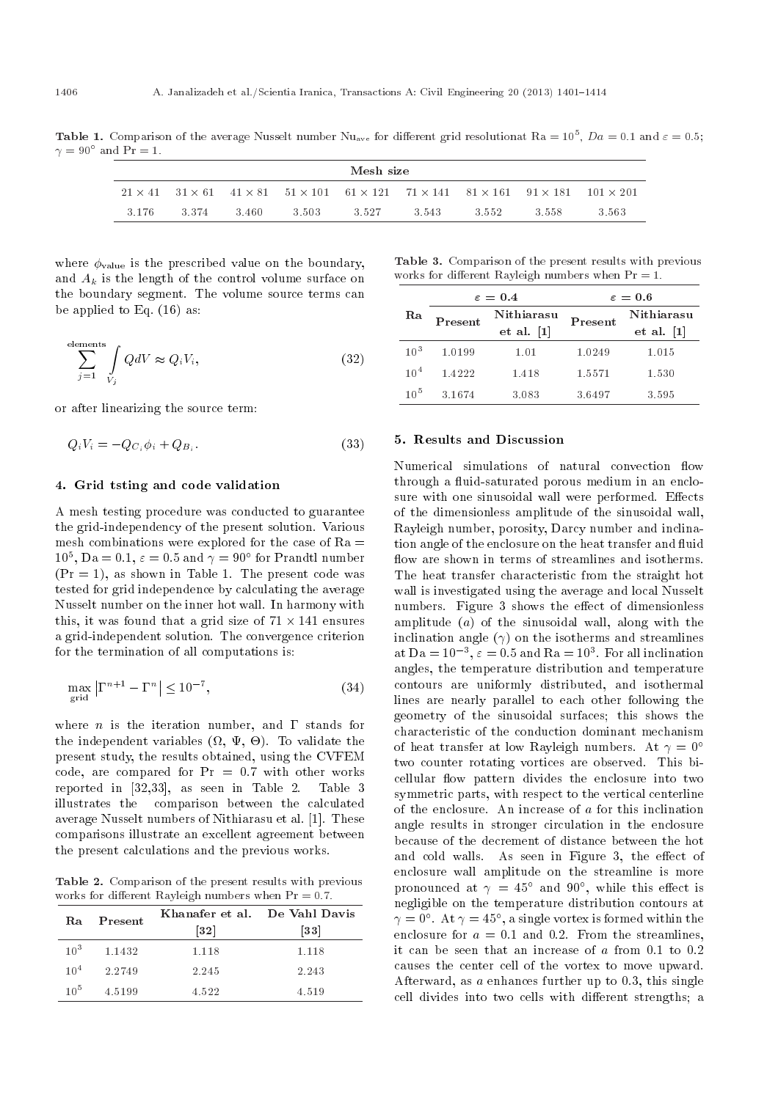**Table 1.** Comparison of the average Nusselt number Nu<sub>ave</sub> for different grid resolutionat Ra =  $10^5$ ,  $Da = 0.1$  and  $\varepsilon = 0.5$ ;  $\gamma = 90^{\circ}$  and Pr = 1.

| Mesh size |       |       |         |       |        |                                                                                                                                               |        |       |
|-----------|-------|-------|---------|-------|--------|-----------------------------------------------------------------------------------------------------------------------------------------------|--------|-------|
|           |       |       |         |       |        | $21 \times 41$ $31 \times 61$ $41 \times 81$ $51 \times 101$ $61 \times 121$ $71 \times 141$ $81 \times 161$ $91 \times 181$ $101 \times 201$ |        |       |
| -3-176    | 3.374 | 3.460 | -3.503- | 3.527 | -3-543 | 3.552                                                                                                                                         | -3-558 | 3.563 |

where  $\phi_{value}$  is the prescribed value on the boundary, and  $A_k$  is the length of the control volume surface on the boundary segment. The volume source terms can be applied to Eq. (16) as:

$$
\sum_{j=1}^{\text{elements}} \int_{V_j} Q \, dV \approx Q_i V_i,\tag{32}
$$

or after linearizing the source term:

$$
Q_i V_i = -Q_{C_i} \phi_i + Q_{B_i}.
$$
\n
$$
(33)
$$

## 4. Grid tsting and code validation

A mesh testing procedure was conducted to guarantee the grid-independency of the present solution. Various mesh combinations were explored for the case of  $Ra =$  $10^5$ , Da = 0.1,  $\varepsilon = 0.5$  and  $\gamma = 90^{\circ}$  for Prandtl number  $(Pr = 1)$ , as shown in Table 1. The present code was tested for grid independence by calculating the average Nusselt number on the inner hot wall. In harmony with this, it was found that a grid size of  $71 \times 141$  ensures a grid-independent solution. The convergence criterion for the termination of all computations is:

$$
\max_{\text{grid}} \left| \Gamma^{n+1} - \Gamma^n \right| \le 10^{-7},\tag{34}
$$

where *n* is the iteration number, and  $\Gamma$  stands for the independent variables  $(\Omega, \Psi, \Theta)$ . To validate the present study, the results obtained, using the CVFEM code, are compared for  $Pr = 0.7$  with other works reported in [32,33], as seen in Table 2. Table 3 illustrates the comparison between the calculated average Nusselt numbers of Nithiarasu et al. [1]. These comparisons illustrate an excellent agreement between the present calculations and the previous works.

Table 2. Comparison of the present results with previous works for different Rayleigh numbers when  $Pr = 0.7$ .

| Rа              | Present   | Khanafer et al. De Vahl Davis<br>$\left\lceil 3\,2\right\rceil$ | $\left\lceil 33\right\rceil$ |
|-----------------|-----------|-----------------------------------------------------------------|------------------------------|
| 10 <sup>3</sup> | 1.1432    | 1.118                                                           | 1.118                        |
| $10^{4}$        | 2 2 7 4 9 | 2.245                                                           | 2.243                        |
| 10 <sup>5</sup> | 45199     | 4.522                                                           | 4.519                        |

Table 3. Comparison of the present results with previous works for different Rayleigh numbers when  $Pr = 1$ .

|                 |         | $\varepsilon = 0.4$      | $\varepsilon=0.6$ |                                          |  |
|-----------------|---------|--------------------------|-------------------|------------------------------------------|--|
| Ra              | Present | Nithiarasu<br>et al. [1] | Present           | Nithiarasu<br>$et$ al. $\lceil 1 \rceil$ |  |
| $10^{3}$        | 1.0199  | 1.01                     | 1.0249            | 1.015                                    |  |
| 10 <sup>4</sup> | 14222   | 1.418                    | 1.5571            | 1.530                                    |  |
| $10^{5}$        | 3.1674  | 3.083                    | 3.6497            | 3.595                                    |  |

#### 5. Results and Discussion

Numerical simulations of natural convection flow through a fluid-saturated porous medium in an enclosure with one sinusoidal wall were performed. Effects of the dimensionless amplitude of the sinusoidal wall, Rayleigh number, porosity, Darcy number and inclination angle of the enclosure on the heat transfer and fluid flow are shown in terms of streamlines and isotherms. The heat transfer characteristic from the straight hot wall is investigated using the average and local Nusselt numbers. Figure 3 shows the effect of dimensionless amplitude (a) of the sinusoidal wall, along with the inclination angle  $(\gamma)$  on the isotherms and streamlines at Da =  $10^{-3}$ ,  $\varepsilon = 0.5$  and Ra =  $10^3$ . For all inclination angles, the temperature distribution and temperature contours are uniformly distributed, and isothermal lines are nearly parallel to each other following the geometry of the sinusoidal surfaces; this shows the characteristic of the conduction dominant mechanism of heat transfer at low Rayleigh numbers. At  $\gamma = 0^{\circ}$ two counter rotating vortices are observed. This bicellular flow pattern divides the enclosure into two symmetric parts, with respect to the vertical centerline of the enclosure. An increase of a for this inclination angle results in stronger circulation in the enclosure because of the decrement of distance between the hot and cold walls. As seen in Figure 3, the effect of enclosure wall amplitude on the streamline is more pronounced at  $\gamma = 45^{\circ}$  and  $90^{\circ}$ , while this effect is negligible on the temperature distribution contours at  $\gamma = 0^{\circ}$ . At  $\gamma = 45^{\circ}$ , a single vortex is formed within the enclosure for  $a = 0.1$  and 0.2. From the streamlines, it can be seen that an increase of  $a$  from 0.1 to 0.2 causes the center cell of the vortex to move upward. Afterward, as a enhances further up to 0.3, this single cell divides into two cells with different strengths; a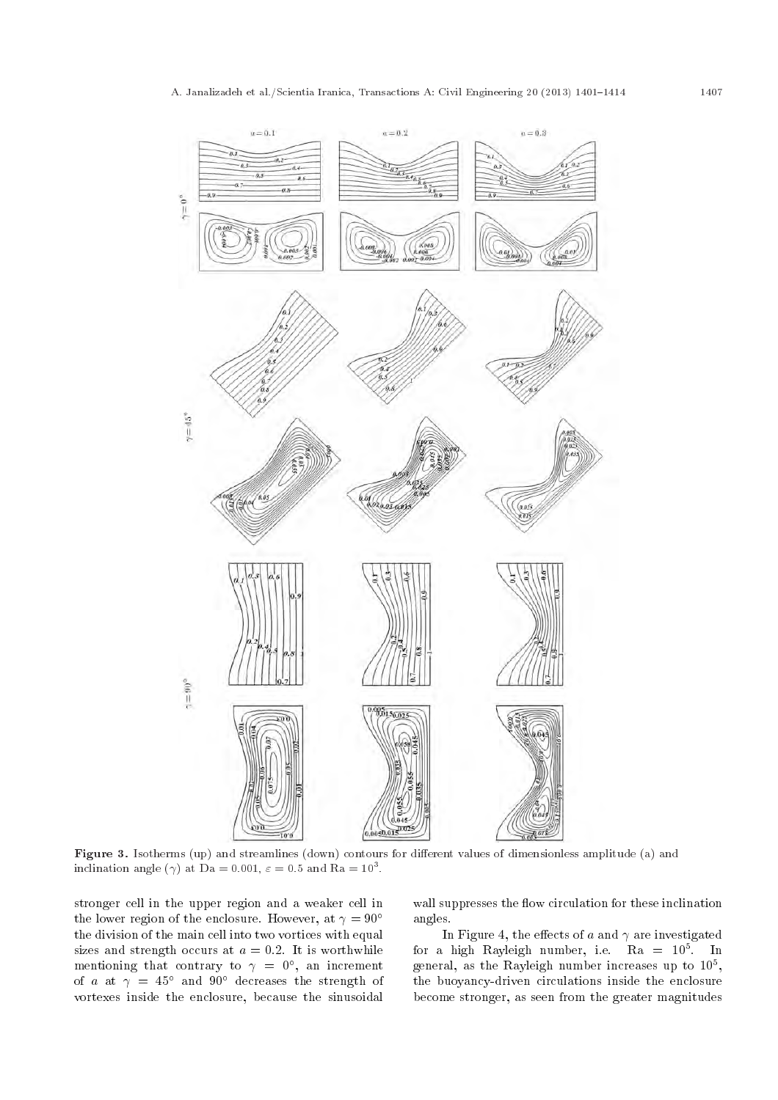

Figure 3. Isotherms (up) and streamlines (down) contours for different values of dimensionless amplitude (a) and inclination angle ( $\gamma$ ) at Da = 0.001,  $\varepsilon = 0.5$  and Ra = 10<sup>3</sup>.

stronger cell in the upper region and a weaker cell in the lower region of the enclosure. However, at  $\gamma = 90^{\circ}$ the division of the main cell into two vortices with equal sizes and strength occurs at  $a = 0.2$ . It is worthwhile mentioning that contrary to  $\gamma = 0^{\circ}$ , an increment of a at  $\gamma = 45^{\circ}$  and  $90^{\circ}$  decreases the strength of vortexes inside the enclosure, because the sinusoidal

wall suppresses the flow circulation for these inclination angles.

In Figure 4, the effects of a and  $\gamma$  are investigated for a high Rayleigh number, i.e.  $Ra = 10^5$ . In general, as the Rayleigh number increases up to  $10^5$ , the buoyancy-driven circulations inside the enclosure become stronger, as seen from the greater magnitudes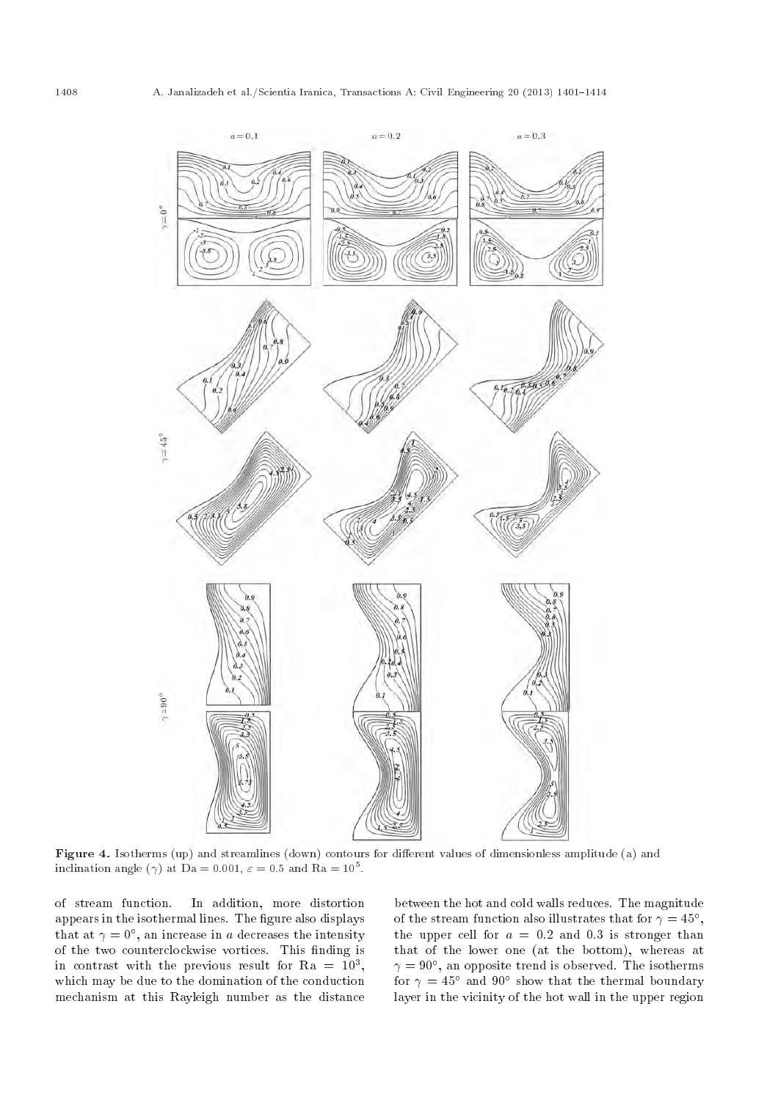

Figure 4. Isotherms (up) and streamlines (down) contours for different values of dimensionless amplitude (a) and inclination angle ( $\gamma$ ) at Da = 0.001,  $\varepsilon = 0.5$  and Ra = 10<sup>5</sup>.

of stream function. In addition, more distortion appears in the isothermal lines. The figure also displays that at  $\gamma = 0^{\circ}$ , an increase in a decreases the intensity of the two counterclockwise vortices. This finding is in contrast with the previous result for  $Ra = 10^3$ , which may be due to the domination of the conduction mechanism at this Rayleigh number as the distance between the hot and cold walls reduces. The magnitude of the stream function also illustrates that for  $\gamma = 45^{\circ}$ , the upper cell for  $a = 0.2$  and 0.3 is stronger than that of the lower one (at the bottom), whereas at  $\gamma = 90^\circ,$  an opposite trend is observed. The isotherms for  $\gamma=45^\circ$  and  $90^\circ$  show that the thermal boundary layer in the vicinity of the hot wall in the upper region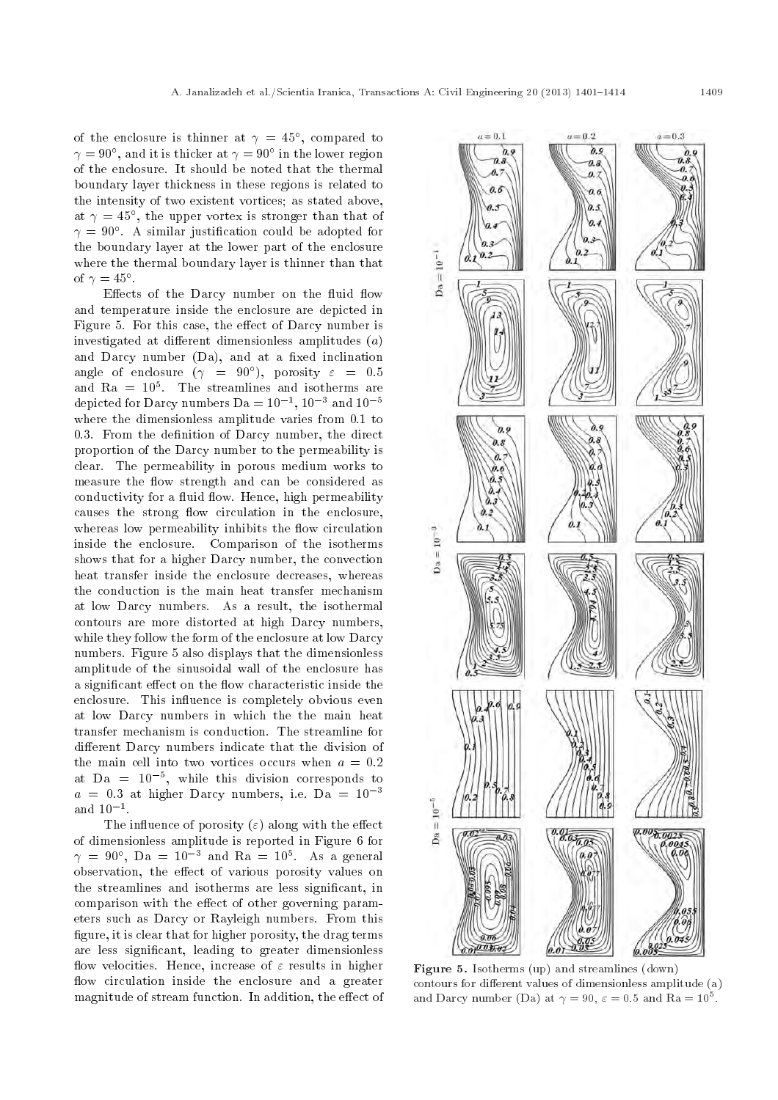of the enclosure is thinner at  $\gamma = 45^{\circ}$ , compared to  $\gamma = 90^{\circ}$ , and it is thicker at  $\gamma = 90^{\circ}$  in the lower region of the enclosure. It should be noted that the thermal boundary layer thickness in these regions is related to the intensity of two existent vortices; as stated above, at  $\gamma = 45^{\circ}$ , the upper vortex is stronger than that of  $\gamma\,=\,90^{\circ}$ . A similar justification could be adopted for the boundary layer at the lower part of the enclosure where the thermal boundary layer is thinner than that of  $\gamma = 45^{\circ}$ .

Effects of the Darcy number on the fluid flow and temperature inside the enclosure are depicted in Figure 5. For this case, the effect of Darcy number is investigated at different dimensionless amplitudes  $(a)$ and Darcy number  $(Da)$ , and at a fixed inclination angle of enclosure  $(\gamma = 90^{\circ})$ , porosity  $\varepsilon = 0.5$ and  $Ra = 10<sup>5</sup>$ . The streamlines and isotherms are depicted for Darcy numbers Da =  $10^{-1}$ ,  $10^{-3}$  and  $10^{-5}$ where the dimensionless amplitude varies from 0.1 to 0.3. From the definition of Darcy number, the direct proportion of the Darcy number to the permeability is clear. The permeability in porous medium works to measure the flow strength and can be considered as conductivity for a fluid flow. Hence, high permeability causes the strong flow circulation in the enclosure. whereas low permeability inhibits the flow circulation inside the enclosure. Comparison of the isotherms shows that for a higher Darcy number, the convection heat transfer inside the enclosure decreases, whereas the conduction is the main heat transfer mechanism at low Darcy numbers. As a result, the isothermal contours are more distorted at high Darcy numbers, while they follow the form of the enclosure at low Darcy numbers. Figure 5 also displays that the dimensionless amplitude of the sinusoidal wall of the enclosure has a significant effect on the flow characteristic inside the enclosure. This influence is completely obvious even at low Darcy numbers in which the the main heat transfer mechanism is conduction. The streamline for different Darcy numbers indicate that the division of the main cell into two vortices occurs when  $a = 0.2$ at Da =  $10^{-5}$ , while this division corresponds to  $a = 0.3$  at higher Darcy numbers, i.e. Da =  $10^{-3}$ and  $10^{-1}$ .

The influence of porosity  $(\varepsilon)$  along with the effect of dimensionless amplitude is reported in Figure 6 for  $\gamma = 90^{\circ}$ , Da =  $10^{-3}$  and Ra =  $10^{5}$ . As a general observation, the effect of various porosity values on the streamlines and isotherms are less signicant, in comparison with the effect of other governing parameters such as Darcy or Rayleigh numbers. From this figure, it is clear that for higher porosity, the drag terms are less signicant, leading to greater dimensionless flow velocities. Hence, increase of  $\varepsilon$  results in higher flow circulation inside the enclosure and a greater magnitude of stream function. In addition, the effect of



Figure 5. Isotherms (up) and streamlines (down) contours for different values of dimensionless amplitude  $(a)$ and Darcy number (Da) at  $\gamma = 90$ ,  $\varepsilon = 0.5$  and Ra =  $10^5$ .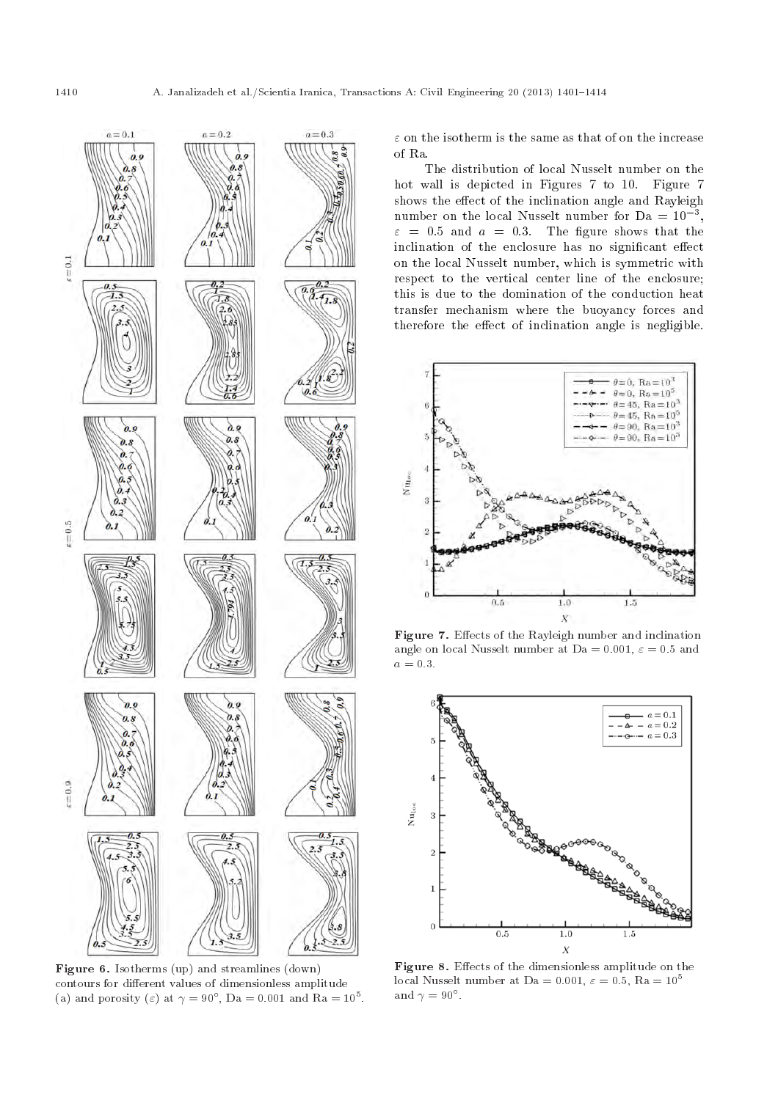

Figure 6. Isotherms (up) and streamlines (down) contours for different values of dimensionless amplitude (a) and porosity ( $\varepsilon$ ) at  $\gamma = 90^{\circ}$ , Da = 0.001 and Ra =  $10^5$ .

 $\varepsilon$  on the isotherm is the same as that of on the increase of Ra.

The distribution of local Nusselt number on the hot wall is depicted in Figures 7 to 10. Figure 7 shows the effect of the inclination angle and Rayleigh number on the local Nusselt number for  $Da = 10^{-3}$ ,  $\varepsilon = 0.5$  and  $a = 0.3$ . The figure shows that the inclination of the enclosure has no significant effect on the local Nusselt number, which is symmetric with respect to the vertical center line of the enclosure; this is due to the domination of the conduction heat transfer mechanism where the buoyancy forces and therefore the effect of inclination angle is negligible.



Figure 7. Effects of the Rayleigh number and inclination angle on local Nusselt number at Da = 0.001,  $\varepsilon = 0.5$  and  $a = 0.3$ .



Figure 8. Effects of the dimensionless amplitude on the local Nusselt number at Da = 0.001,  $\varepsilon = 0.5$ , Ra =  $10^5$ and  $\gamma = 90^{\circ}$ .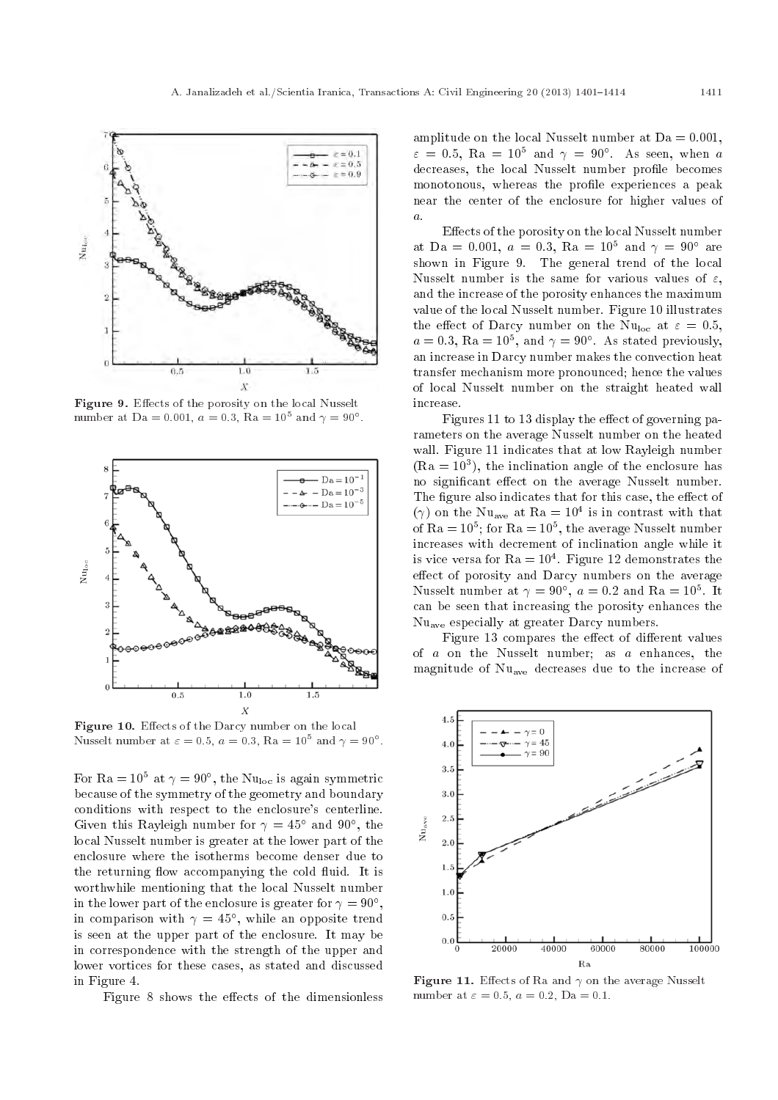

Figure 9. Effects of the porosity on the local Nusselt number at Da = 0.001,  $a = 0.3$ , Ra =  $10^5$  and  $\gamma = 90^{\circ}$ .



Figure 10. Effects of the Darcy number on the local Nusselt number at  $\varepsilon = 0.5$ ,  $a = 0.3$ ,  $Ra = 10^5$  and  $\gamma = 90^\circ$ .

For Ra =  $10^5$  at  $\gamma = 90^\circ$ , the Nu<sub>loc</sub> is again symmetric because of the symmetry of the geometry and boundary conditions with respect to the enclosure's centerline. Given this Rayleigh number for  $\gamma = 45^{\circ}$  and 90°, the local Nusselt number is greater at the lower part of the enclosure where the isotherms become denser due to the returning flow accompanying the cold fluid. It is worthwhile mentioning that the local Nusselt number in the lower part of the enclosure is greater for  $\gamma = 90^{\circ}$ , in comparison with  $\gamma = 45^{\circ}$ , while an opposite trend is seen at the upper part of the enclosure. It may be in correspondence with the strength of the upper and lower vortices for these cases, as stated and discussed in Figure 4.

Figure 8 shows the effects of the dimensionless

amplitude on the local Nusselt number at  $Da = 0.001$ ,  $\varepsilon = 0.5$ , Ra = 10<sup>5</sup> and  $\gamma = 90^{\circ}$ . As seen, when a decreases, the local Nusselt number profile becomes monotonous, whereas the profile experiences a peak near the center of the enclosure for higher values of a.

Effects of the porosity on the local Nusselt number at Da = 0.001,  $a = 0.3$ , Ra =  $10^5$  and  $\gamma = 90^{\circ}$  are shown in Figure 9. The general trend of the local Nusselt number is the same for various values of  $\varepsilon$ , and the increase of the porosity enhances the maximum value of the local Nusselt number. Figure 10 illustrates the effect of Darcy number on the Nu<sub>loc</sub> at  $\varepsilon = 0.5$ ,  $a = 0.3$ , Ra =  $10^5$ , and  $\gamma = 90^\circ$ . As stated previously, an increase in Darcy number makes the convection heat transfer mechanism more pronounced; hence the values of local Nusselt number on the straight heated wall increase.

Figures 11 to 13 display the effect of governing parameters on the average Nusselt number on the heated wall. Figure 11 indicates that at low Rayleigh number  $(Ra = 10<sup>3</sup>)$ , the inclination angle of the enclosure has no significant effect on the average Nusselt number. The figure also indicates that for this case, the effect of  $(\gamma)$  on the Nu<sub>ave</sub> at Ra = 10<sup>4</sup> is in contrast with that of Ra =  $10^5$ ; for Ra =  $10^5$ , the average Nusselt number increases with decrement of inclination angle while it is vice versa for  $Ra = 10^4$ . Figure 12 demonstrates the effect of porosity and Darcy numbers on the average Nusselt number at  $\gamma = 90^{\circ}$ ,  $a = 0.2$  and Ra =  $10^5$ . It can be seen that increasing the porosity enhances the Nuave especially at greater Darcy numbers.

Figure 13 compares the effect of different values of  $a$  on the Nusselt number; as  $a$  enhances, the magnitude of Nuave decreases due to the increase of



Figure 11. Effects of Ra and  $\gamma$  on the average Nusselt number at  $\varepsilon = 0.5$ ,  $a = 0.2$ ,  $Da = 0.1$ .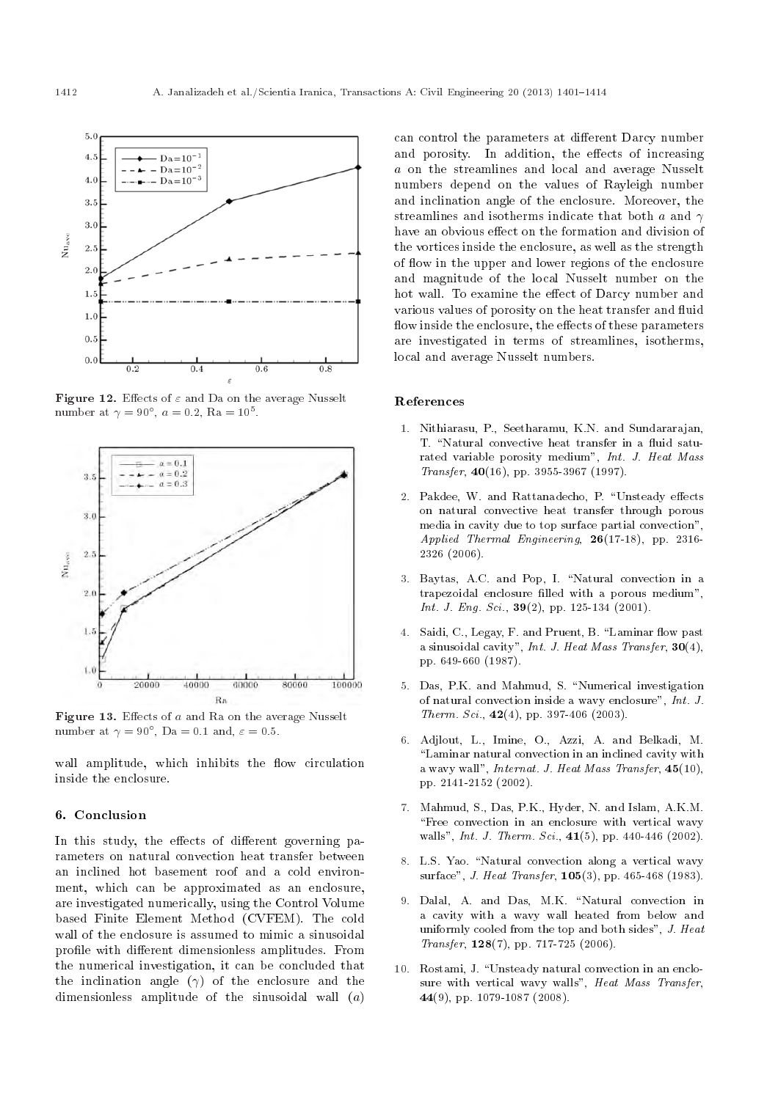

Figure 12. Effects of  $\varepsilon$  and Da on the average Nusselt number at  $\gamma = 90^{\circ}$ ,  $a = 0.2$ , Ra =  $10^5$ .



Figure 13. Effects of  $a$  and Ra on the average Nusselt number at  $\gamma = 90^{\circ}$ , Da = 0.1 and,  $\varepsilon = 0.5$ .

wall amplitude, which inhibits the flow circulation inside the enclosure.

#### 6. Conclusion

In this study, the effects of different governing parameters on natural convection heat transfer between an inclined hot basement roof and a cold environment, which can be approximated as an enclosure, are investigated numerically, using the Control Volume based Finite Element Method (CVFEM). The cold wall of the enclosure is assumed to mimic a sinusoidal profile with different dimensionless amplitudes. From the numerical investigation, it can be concluded that the inclination angle  $(\gamma)$  of the enclosure and the dimensionless amplitude of the sinusoidal wall  $(a)$ 

can control the parameters at different Darcy number and porosity. In addition, the effects of increasing a on the streamlines and local and average Nusselt numbers depend on the values of Rayleigh number and inclination angle of the enclosure. Moreover, the streamlines and isotherms indicate that both a and  $\gamma$ have an obvious effect on the formation and division of the vortices inside the enclosure, as well as the strength of flow in the upper and lower regions of the enclosure and magnitude of the local Nusselt number on the hot wall. To examine the effect of Darcy number and various values of porosity on the heat transfer and fluid flow inside the enclosure, the effects of these parameters are investigated in terms of streamlines, isotherms, local and average Nusselt numbers.

#### References

- 1. Nithiarasu, P., Seetharamu, K.N. and Sundararajan, T. "Natural convective heat transfer in a fluid saturated variable porosity medium", Int. J. Heat Mass  $Transfer, 40(16), pp. 3955-3967 (1997).$
- 2. Pakdee, W. and Rattanadecho, P. "Unsteady effects on natural convective heat transfer through porous media in cavity due to top surface partial convection", Applied Thermal Engineering, 26(17-18), pp. 2316- 2326 (2006).
- 3. Baytas, A.C. and Pop, I. "Natural convection in a trapezoidal enclosure filled with a porous medium", Int. J. Eng. Sci.,  $39(2)$ , pp. 125-134 (2001).
- 4. Saidi, C., Legay, F. and Pruent, B. "Laminar flow past a sinusoidal cavity", Int. J. Heat Mass Transfer,  $30(4)$ , pp. 649-660 (1987).
- 5. Das, P.K. and Mahmud, S. "Numerical investigation of natural convection inside a wavy enclosure", Int. J. Therm. Sci.,  $42(4)$ , pp. 397-406 (2003).
- 6. Adjlout, L., Imine, O., Azzi, A. and Belkadi, M. "Laminar natural convection in an inclined cavity with a wavy wall", *Internat. J. Heat Mass Transfer*,  $45(10)$ , pp. 2141-2152 (2002).
- 7. Mahmud, S., Das, P.K., Hyder, N. and Islam, A.K.M. "Free convection in an enclosure with vertical wavy walls", *Int. J. Therm. Sci.*,  $41(5)$ , pp.  $440-446$  (2002).
- 8. L.S. Yao. "Natural convection along a vertical wavy surface", *J. Heat Transfer*,  $105(3)$ , pp. 465-468 (1983).
- 9. Dalal, A. and Das, M.K. "Natural convection in a cavity with a wavy wall heated from below and uniformly cooled from the top and both sides", J. Heat Transfer, 128(7), pp. 717-725 (2006).
- 10. Rostami, J. \Unsteady natural convection in an enclosure with vertical wavy walls", Heat Mass Transfer, 44(9), pp. 1079-1087 (2008).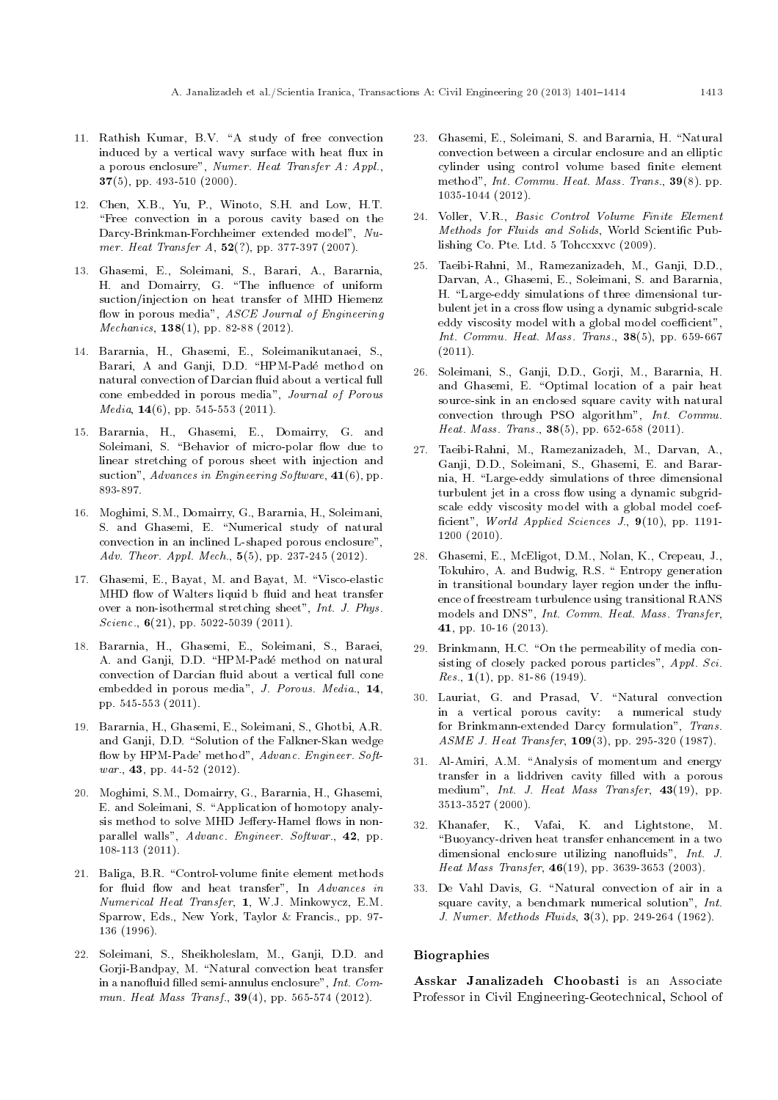- 11. Rathish Kumar, B.V. "A study of free convection induced by a vertical wavy surface with heat flux in a porous enclosure", Numer. Heat Transfer A: Appl., 37(5), pp. 493-510 (2000).
- 12. Chen, X.B., Yu, P., Winoto, S.H. and Low, H.T. "Free convection in a porous cavity based on the Darcy-Brinkman-Forchheimer extended model", Numer. Heat Transfer A,  $52$ (?), pp. 377-397 (2007).
- 13. Ghasemi, E., Soleimani, S., Barari, A., Bararnia, H. and Domairry, G. "The influence of uniform suction/injection on heat transfer of MHD Hiemenz flow in porous media", ASCE Journal of Engineering *Mechanics*, **138**(1), pp. 82-88 (2012).
- 14. Bararnia, H., Ghasemi, E., Soleimanikutanaei, S., Barari, A and Ganji, D.D. "HPM-Padé method on natural convection of Darcian fluid about a vertical full cone embedded in porous media", Journal of Porous  $Media, 14(6), pp. 545-553 (2011).$
- 15. Bararnia, H., Ghasemi, E., Domairry, G. and Soleimani, S. "Behavior of micro-polar flow due to linear stretching of porous sheet with injection and suction", Advances in Engineering Software, 41(6), pp. 893-897.
- 16. Moghimi, S.M., Domairry, G., Bararnia, H., Soleimani, S. and Ghasemi, E. "Numerical study of natural convection in an inclined L-shaped porous enclosure", Adv. Theor. Appl. Mech., 5(5), pp. 237-245 (2012).
- 17. Ghasemi, E., Bayat, M. and Bayat, M. \Visco-elastic MHD flow of Walters liquid b fluid and heat transfer over a non-isothermal stretching sheet", Int. J. Phys. Scienc.,  $6(21)$ , pp. 5022-5039 (2011).
- 18. Bararnia, H., Ghasemi, E., Soleimani, S., Baraei, A. and Ganji, D.D. \HPM-Pade method on natural convection of Darcian fluid about a vertical full cone embedded in porous media", J. Porous. Media., 14, pp. 545-553 (2011).
- 19. Bararnia, H., Ghasemi, E., Soleimani, S., Ghotbi, A.R. and Ganji, D.D. "Solution of the Falkner-Skan wedge flow by HPM-Pade' method", Advanc. Engineer. Softwar., **43**, pp. 44-52 (2012).
- 20. Moghimi, S.M., Domairry, G., Bararnia, H., Ghasemi, E. and Soleimani, S. "Application of homotopy analysis method to solve MHD Jeffery-Hamel flows in nonparallel walls", Advanc. Engineer. Softwar., 42, pp. 108-113 (2011).
- 21. Baliga, B.R. "Control-volume finite element methods for fluid flow and heat transfer", In Advances in Numerical Heat Transfer, 1, W.J. Minkowycz, E.M. Sparrow, Eds., New York, Taylor & Francis., pp. 97- 136 (1996).
- 22. Soleimani, S., Sheikholeslam, M., Ganji, D.D. and Gorji-Bandpay, M. "Natural convection heat transfer in a nanofluid filled semi-annulus enclosure", Int. Commun. Heat Mass Transf.,  $39(4)$ , pp. 565-574 (2012).
- 23. Ghasemi, E., Soleimani, S. and Bararnia, H. \Natural convection between a circular enclosure and an elliptic cylinder using control volume based finite element method", Int. Commu. Heat. Mass. Trans., 39(8). pp. 1035-1044 (2012).
- 24. Voller, V.R., Basic Control Volume Finite Element Methods for Fluids and Solids, World Scientific Publishing Co. Pte. Ltd. 5 Tohccxxvc (2009).
- 25. Taeibi-Rahni, M., Ramezanizadeh, M., Ganji, D.D., Darvan, A., Ghasemi, E., Soleimani, S. and Bararnia, H. "Large-eddy simulations of three dimensional turbulent jet in a cross flow using a dynamic subgrid-scale eddy viscosity model with a global model coefficient" Int. Commu. Heat. Mass. Trans.,  $38(5)$ , pp. 659-667 (2011).
- 26. Soleimani, S., Ganji, D.D., Gorji, M., Bararnia, H. and Ghasemi, E. "Optimal location of a pair heat source-sink in an enclosed square cavity with natural convection through PSO algorithm", Int. Commu. Heat. Mass. Trans., 38(5), pp. 652-658 (2011).
- 27. Taeibi-Rahni, M., Ramezanizadeh, M., Darvan, A., Ganji, D.D., Soleimani, S., Ghasemi, E. and Bararnia, H. "Large-eddy simulations of three dimensional turbulent jet in a cross flow using a dynamic subgridscale eddy viscosity model with a global model coef ficient", World Applied Sciences J., 9(10), pp. 1191-1200 (2010).
- 28. Ghasemi, E., McEligot, D.M., Nolan, K., Crepeau, J., Tokuhiro, A. and Budwig, R.S. \ Entropy generation in transitional boundary layer region under the influence of freestream turbulence using transitional RANS models and DNS", Int. Comm. Heat. Mass. Transfer, 41, pp. 10-16 (2013).
- 29. Brinkmann, H.C. "On the permeability of media consisting of closely packed porous particles", Appl. Sci. Res.,  $1(1)$ , pp. 81-86 (1949).
- 30. Lauriat, G. and Prasad, V. "Natural convection in a vertical porous cavity: a numerical study for Brinkmann-extended Darcy formulation", Trans. ASME J. Heat Transfer, 109(3), pp. 295-320 (1987).
- 31. Al-Amiri, A.M. "Analysis of momentum and energy transfer in a liddriven cavity filled with a porous medium", Int. J. Heat Mass Transfer, 43(19), pp. 3513-3527 (2000).
- 32. Khanafer, K., Vafai, K. and Lightstone, M. \Buoyancy-driven heat transfer enhancement in a two dimensional enclosure utilizing nanofluids", Int. J. Heat Mass Transfer, 46(19), pp. 3639-3653 (2003).
- 33. De Vahl Davis, G. "Natural convection of air in a square cavity, a benchmark numerical solution", Int. J. Numer. Methods Fluids, 3(3), pp. 249-264 (1962).

#### Biographies

Asskar Janalizadeh Choobasti is an Associate Professor in Civil Engineering-Geotechnical, School of